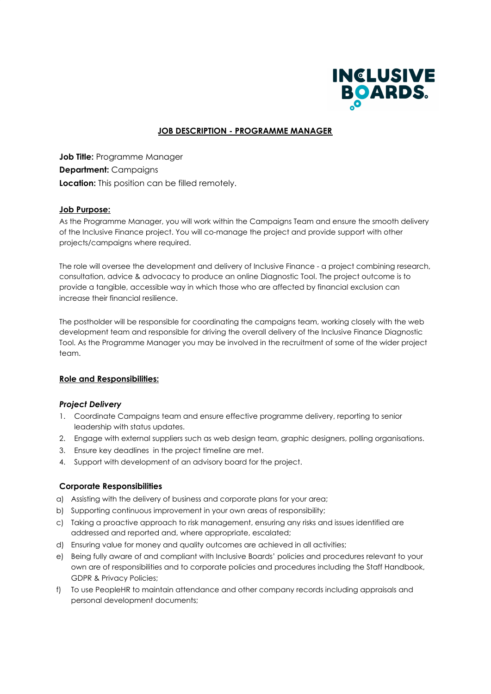

# **JOB DESCRIPTION - PROGRAMME MANAGER**

**Job Title:** Programme Manager **Department:** Campaigns **Location:** This position can be filled remotely.

# **Job Purpose:**

As the Programme Manager, you will work within the Campaigns Team and ensure the smooth delivery of the Inclusive Finance project. You will co-manage the project and provide support with other projects/campaigns where required.

The role will oversee the development and delivery of Inclusive Finance - a project combining research, consultation, advice & advocacy to produce an online Diagnostic Tool. The project outcome is to provide a tangible, accessible way in which those who are affected by financial exclusion can increase their financial resilience.

The postholder will be responsible for coordinating the campaigns team, working closely with the web development team and responsible for driving the overall delivery of the Inclusive Finance Diagnostic Tool. As the Programme Manager you may be involved in the recruitment of some of the wider project team

# **Role and Responsibilities:**

### *Project Delivery*

- 1. Coordinate Campaigns team and ensure effective programme delivery, reporting to senior leadership with status updates.
- 2. Engage with external suppliers such as web design team, graphic designers, polling organisations.
- 3. Ensure key deadlines in the project timeline are met.
- 4. Support with development of an advisory board for the project.

# **Corporate Responsibilities**

- a) Assisting with the delivery of business and corporate plans for your area;
- b) Supporting continuous improvement in your own areas of responsibility;
- c) Taking a proactive approach to risk management, ensuring any risks and issues identified are addressed and reported and, where appropriate, escalated;
- d) Ensuring value for money and quality outcomes are achieved in all activities;
- e) Being fully aware of and compliant with Inclusive Boards' policies and procedures relevant to your own are of responsibilities and to corporate policies and procedures including the Staff Handbook, GDPR & Privacy Policies;
- f) To use PeopleHR to maintain attendance and other company records including appraisals and personal development documents;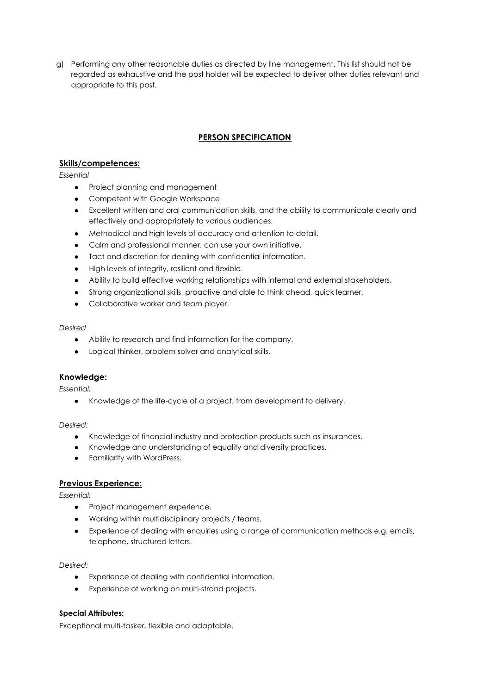g) Performing any other reasonable duties as directed by line management. This list should not be regarded as exhaustive and the post holder will be expected to deliver other duties relevant and appropriate to this post.

# **PERSON SPECIFICATION**

# **Skills/competences:**

*Essential*

- Project planning and management
- Competent with Google Workspace
- Excellent written and oral communication skills, and the ability to communicate clearly and effectively and appropriately to various audiences.
- Methodical and high levels of accuracy and attention to detail.
- Calm and professional manner, can use your own initiative.
- Tact and discretion for dealing with confidential information.
- High levels of integrity, resilient and flexible.
- Ability to build effective working relationships with internal and external stakeholders.
- Strong organizational skills, proactive and able to think ahead, quick learner.
- Collaborative worker and team player.

### *Desired*

- Ability to research and find information for the company.
- Logical thinker, problem solver and analytical skills.

# **Knowledge:**

*Essential:*

● Knowledge of the life-cycle of a project, from development to delivery.

*Desired:*

- Knowledge of financial industry and protection products such as insurances.
- Knowledge and understanding of equality and diversity practices.
- Familiarity with WordPress.

# **Previous Experience:**

*Essential:*

- Project management experience.
- Working within multidisciplinary projects / teams.
- Experience of dealing with enquiries using a range of communication methods e.g. emails, telephone, structured letters.

*Desired:*

- Experience of dealing with confidential information.
- Experience of working on multi-strand projects.

# **Special Attributes:**

Exceptional multi-tasker, flexible and adaptable.